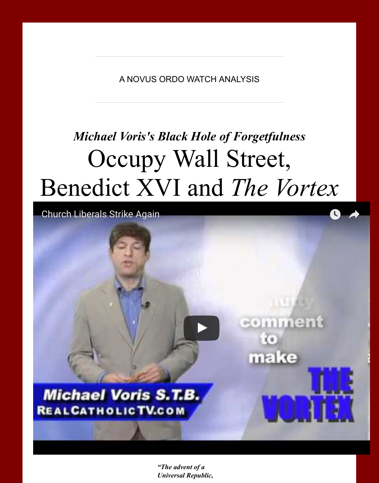A NOVUS ORDO WATCH ANALYSIS

# *Michael Voris's Black Hole of Forgetfulness* Occupy Wall Street, Benedict XVI and *The Vorte*

Church Liberals Strike Again



*"The advent of a Universal Republic,* make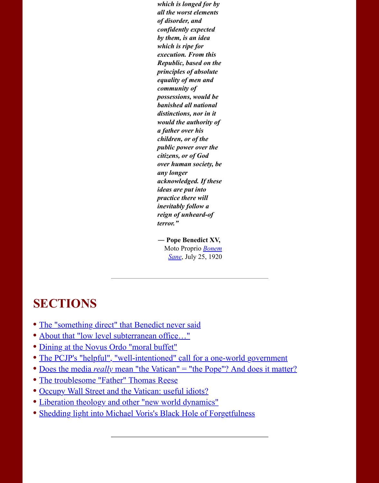*principles of absolute equality of men and community of possessions, would be banished all national distinctions, nor in it would the authority of a father over his children, or of the public power over the citizens, or of God over human society, be any longer acknowledged. If these ideas are put into practice there will inevitably follow a reign of unheard-of terror."*

*Republic, based on the*

**― Pope Benedict XV,**  Moto Proprio *Bonem Sane*, July 25, 1920

## **SECTIONS**

- The "something direct" that Benedict [never said](http://rittertodundteufel.blogspot.com/2009/08/pope-benedict-xv-described-new-world.html)
- About that "low level subterranean office…"
- Dining at the Novus Ordo "moral buffet"
- The PCJP's "helpful", "well-intentioned" call for a one-world government
- Does the media *really* mean "the Vatican" = "the Pope"? And does it matter?
- The troublesome "Father" Thomas Reese
- <u>[Occupy Wall Street and the Vatican: useful idiot](http://novusordowatch.org/ows_b16_vortex.htm#T)s?</u>
- [Liberation theology and other "new world dy](http://novusordowatch.org/ows_b16_vortex.htm#A)namics"
- **[Shedding light into Michael Voris's Black](http://novusordowatch.org/ows_b16_vortex.htm#D) Hole of Forgetfulness**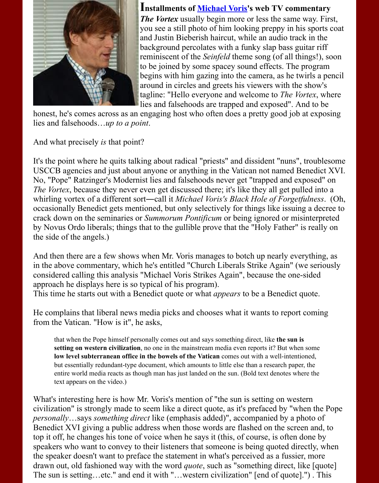

to be joined by some spacey sound effects. The program begins with him [gazing into the](http://www.realcatholictv.com/about/bio.php) camera, as he twirls a around in circles and greets his viewers with the show tagline: "Hello everyone and welcome to *The Vortex*, where lies and falsehoods are trapped and exposed". And to be

honest, he's comes across as an engaging host who often does a pretty good job at exp lies and falsehoods…*up to a point*.

And what precisely *is* that point?

It's the point where he quits talking about radical "priests" and dissident "nuns", troub USCCB agencies and just about anyone or anything in the Vatican not named Benedict USCCB No, "Pope" Ratzinger's Modernist lies and falsehoods never get "trapped and exposed" *The Vortex*, because they never even get discussed there; it's like they all get pulled in whirling vortex of a different sort—call it *Michael Voris's Black Hole of Forgetfulness*. occasionally Benedict gets mentioned, but only selectively for things like issuing a de crack down on the seminaries or *Summorum Pontificum* or being ignored or misinterp by Novus Ordo liberals; things that to the gullible prove that the "Holy Father" is really the side of the angels.)

And then there are a few shows when Mr. Voris manages to botch up nearly everythin in the above commentary, which he's entitled "Church Liberals Strike Again" (we seri considered calling this analysis "Michael Voris Strikes Again", because the one-sided approach he displays here is so typical of his program).

This time he starts out with a Benedict quote or what *appears* to be a Benedict quote.

He complains that liberal news media picks and chooses what it wants to report coming from the Vatican. "How is it", he asks,

that when the Pope himself personally comes out and says something direct, like **the sun is setting on western civilization**, no one in the mainstream media even reports it? But when some **low level subterranean office in the bowels of the Vatican** comes out with a well-intentioned, but essentially redundant-type document, which amounts to little else than a research paper, the entire world media reacts as though man has just landed on the sun. (Bold text denotes where the text appears on the video.)

What's interesting here is how Mr. Voris's mention of "the sun is setting on western civilization" is strongly made to seem like a direct quote, as it's prefaced by "when the *personally*…says *something direct* like (emphasis added)", accompanied by a photo of Benedict XVI giving a public address when those words are flashed on the screen and top it off, he changes his tone of voice when he says it (this, of course, is often done by speakers who want to convey to their listeners that someone is being quoted directly, the speaker doesn't want to preface the statement in what's perceived as a fussier, more drawn out, old fashioned way with the word *quote*, such as "something direct, like [quote] The sun is setting...etc." and end it with "...western civilization" [end of quote]."). T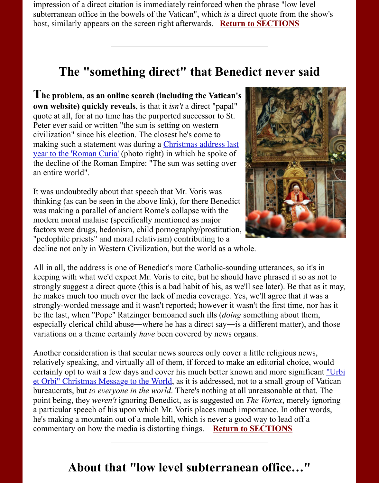#### **The "something direct" that Benedict never said**

**The problem, as an online search (including the Va[tican's](http://novusordowatch.org/ows_b16_vortex.htm#S) own website) quickly reveals**, is that it *isn't* a direct "papal" quote at all, for at no time has the purported successor to St. Peter ever said or written "the sun is setting on western civilization" since his election. The closest he's come to making such a statement was during a Christmas address last year to the 'Roman Curia' (photo right) in which he spoke of the decline of the Roman Empire: "The sun was setting over an entire world".

It was undoubtedly about that speech that Mr. Voris was thinking (as can be seen in the above link), for there Benedict [was making a parallel of ancient Rome's collapse with the](http://www.speroforum.com/site/article.asp?idCategory=34&idsub=158&id=45857&t=A+wake-up+call+for+American+Catholics) modern moral malaise (specifically mentioned as major factors were drugs, hedonism, child pornography/prostitution, "pedophile priests" and moral relativism) contributing to a decline not only in Western Civilization, but the world as a whole.



All in all, the address is one of Benedict's more Catholic-sounding utterances, so it's in keeping with what we'd expect Mr. Voris to cite, but he should have phrased it so as n strongly suggest a direct quote (this is a bad habit of his, as we'll see later). Be that as he makes much too much over the lack of media coverage. Yes, we'll agree that it was strongly-worded message and it wasn't reported; however it wasn't the first time, nor l be the last, when "Pope" Ratzinger bemoaned such ills (*doing* something about them, especially clerical child abuse—where he has a direct say—is a different matter), and variations on a theme certainly *have* been covered by news organs.

Another consideration is that secular news sources only cover a little religious news, relatively speaking, and virtually all of them, if forced to make an editorial choice, wo certainly opt to wait a few days and cover his much better known and more significant et Orbi" Christmas Message to the World, as it is addressed, not to a small group of Va bureaucrats, but *to everyone in the world*. There's nothing at all unreasonable at that. point being, they *weren't* ignoring Benedict, as is suggested on *The Vortex*, merely ign a particular speech of his upon which Mr. Voris places much importance. In other wor he's making a mountain out of a mole hill, which is never a good way to lead off a [commentary on how the media is distorting things.](http://www.telegraph.co.uk/news/religion/the-pope/8224816/The-Popes-Christmas-message-in-full.html) **Return to SECTIONS**

## **About that "low level subterranean office…"**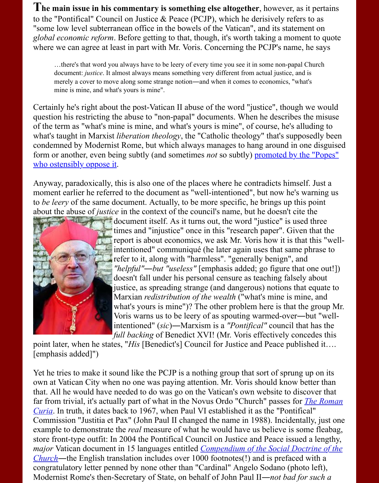$\ldots$  there  $\circ$  that word you always have to be leery of every time you see it in some non-papal Church document: *justice*. It almost always means something very different from actual justice, and is merely a cover to move along some strange notion―and when it comes to economics, "what's mine is mine, and what's yours is mine".

Certainly he's right about the post-Vatican II abuse of the word "justice", though we w question his restricting the abuse to "non-papal" documents. When he describes the m of the term as "what's mine is mine, and what's yours is mine", of course, he's alluding what's taught in Marxist *liberation theology*, the "Catholic theology" that's supposedly condemned by Modernist Rome, but which always manages to hang around in one dis form or another, even being subtly (and sometimes *not* so subtly) promoted by the "Popes" who ostensibly oppose it.

Anyway, paradoxically, this is also one of the places where he contradicts himself. Just moment earlier he referred to the document as "well-intentioned", but now he's warning to *be leery* of the same document. Actually, to be more specific, he brings up this point about the abuse of *justice* in the context of the council's name, but he doesn't cite the



[document itself. As it turns out, the word "justice" is used three](http://www.traditioninaction.org/RevolutionPhotos/A130rcJP2HavanaMass.htm) times and "injustice" once in this "research paper". Given that report is about economics, we ask Mr. Voris how it is that this intentioned" communiqué (he later again uses that same phrase refer to it, along with "harmless". "generally benign", and *"helpful"—but "useless"* [emphasis added; go figure that one doesn't fall under his personal censure as teaching falsely about justice, as spreading strange (and dangerous) notions that equations Marxian *redistribution of the wealth* ("what's mine is mine, and what's yours is mine")? The other problem here is that the gro Voris warns us to be leery of as spouting warmed-over—but " intentioned" (*sic*)—Marxism is a "*Pontifical*" council that has *full backing* of Benedict XVI! (Mr. Voris effectively concedes

point later, when he states, "*His* [Benedict's] Council for Justice and Peace published it [emphasis added]")

Yet he tries to make it sound like the PCJP is a nothing group that sort of sprung up on own at Vatican City when no one was paying attention. Mr. Voris should know better that. All he would have needed to do was go on the Vatican's own website to discover that far from trivial, it's actually part of what in the Novus Ordo "Church" passes for *The R Curia*. In truth, it dates back to 1967, when Paul VI established it as the "Pontifical" Commission "Justitia et Pax" (John Paul II changed the name in 1988). Incidentally, ju example to demonstrate the *real* measure of what he would have us believe is some fle store front-type outfit: In 2004 the Pontifical Council on Justice and Peace issued a length *major* Vatican document in 15 languages entitled *Compendium of the Social Doctrine Church*—the English translation includes over 1000 footnotes(!) and is prefaced with [congratulatory letter penned by none other than "Cardinal" Angelo Sodano](http://www.vatican.va/roman_curia/pontifical_councils/justpeace/index.htm) (photo left), Modernist Rome's then-Secretary of State, on behalf of John Paul II—*not bad for such*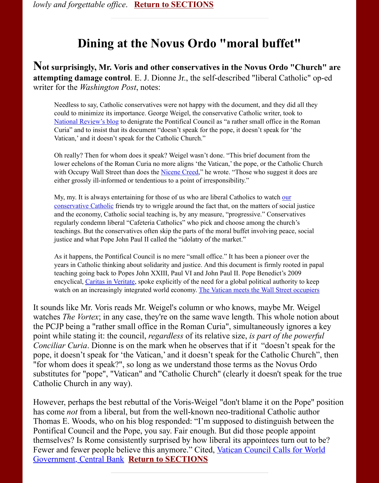**Not surprisingly, Mr. Voris [and other conservative](http://novusordowatch.org/ows_b16_vortex.htm#S)s in the Novus Ordo "Church" are attempting damage control.** E. J. Dionne Jr., the self-described "liberal Catholic" opwriter for the *Washington Post*, notes:

Needless to say, Catholic conservatives were not happy with the document, and they did all they could to minimize its importance. George Weigel, the conservative Catholic writer, took to National Review's blog to denigrate the Pontifical Council as "a rather small office in the Roman Curia" and to insist that its document "doesn't speak for the pope, it doesn't speak for 'the Vatican,' and it doesn't speak for the Catholic Church."

Oh really? Then for whom does it speak? Weigel wasn't done. "This brief document from the lower echelons of the Roman Curia no more aligns 'the Vatican,' the pope, or the Catholic Church with Occupy Wall Street than does the Nicene Creed," he wrote. "Those who suggest it does are [either grossly ill-inform](http://www.nationalreview.com/corner/281140/pope-chaplain-ows-rubbish-george-weigel)ed or tendentious to a point of irresponsibility."

My, my. It is always entertaining for those of us who are liberal Catholics to watch our conservative Catholic friends try to wriggle around the fact that, on the matters of social justice and the economy, Catholic social teaching is, by any measure, "progressive." Conservatives regularly condemn liberal "Cafeteria Catholics" who pick and choose among the church's teachings. But the conservatives often skip the parts of the moral buffet involving peace, social justice and what Pope John Paul II call[ed the "idolatr](http://www.creeds.net/ancient/nicene.htm)y of the market."

As it happens, the Pontifical Council is no mere "small office." It has been a pioneer over the [years in Catholic thinking about solidarity and justice. And this document is firmly roo](http://www.washingtonpost.com/blogs/under-god/post/does-pope-benedict-support-occupy-wall-street/2011/10/25/gIQArXExFM_blog.html)ted in papal teaching going back to Popes John XXIII, Paul VI and John Paul II. Pope Benedict's 2009 encyclical, Caritas in Veritate, spoke explicitly of the need for a global political authority to keep watch on an increasingly integrated world economy. The Vatican meets the Wall Street occupiers

It sounds like Mr. Voris reads Mr. Weigel's column or who knows, maybe Mr. Weigel watches *The Vortex*; in any case, they're on the same wave length. This whole notion a the PCJP being a "rather small office in the Roman Curia", simultaneously ignores a k point while stating it: the council, *regardless* of its relative size, *is part of the powerful Conciliar Curia*[. Dionne is on](http://www.vatican.va/holy_father/benedict_xvi/encyclicals/documents/hf_ben-xvi_enc_20090629_caritas-in-veritate_en.html) the mark when he observes that if it "doesn't speak for pope, it doesn't speak for 'the Vatican,' and it do[esn't speak for the Catholic Church",](http://www.washingtonpost.com/opinions/the-vatican-meets-the-wall-street-occupiers/2011/10/26/gIQAGO8EKM_story.html) "for whom does it speak?", so long as we understand those terms as the Novus Ordo substitutes for "pope", "Vatican" and "Catholic Church" (clearly it doesn't speak for th Catholic Church in any way).

However, perhaps the best rebuttal of the Voris-Weigel "don't blame it on the Pope" positionhas come *not* from a liberal, but from the well-known neo-traditional Catholic author Thomas E. Woods, who on his blog responded: "I'm supposed to distinguish between Pontifical Council and the Pope, you say. Fair enough. But did those people appoint themselves? Is Rome consistently surprised by how liberal its appointees turn out to b Fewer and fewer people believe this anymore." Cited, Vatican Council Calls for World Government, Central Bank **Return to SECTIONS**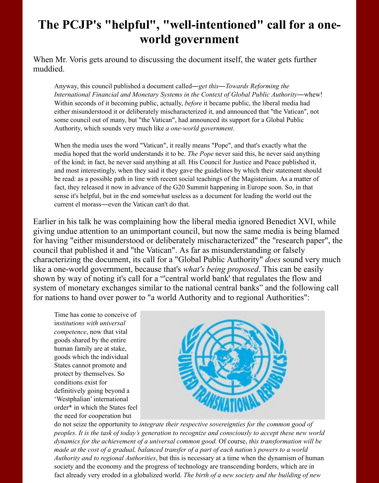### **The PCJP's "helpful", "well-intentioned" call for a oneworld government**

When Mr. Voris gets around to discussing the document itself, the water gets further muddied.

Anyway, this council published a document called―*get this*―*Towards Reforming the* International Financial and Monetary Systems in the Context of Global Public Authority—whew! Within seconds of it becoming public, actually, *before* it became public, the liberal media had either misunderstood it or deliberately mischaracterized it, and announced that "the Vatican", not some council out of many, but "the Vatican", had announced its support for a Global Public Authority, which sounds very much like *a one-world government*.

When the media uses the word "Vatican", it really means "Pope", and that's exactly what the media hoped that the world understands it to be. *The Pope* never said this, he never said anything of the kind; in fact, he never said anything at all. His Council for Justice and Peace published it, and most interestingly, when they said it they gave the guidelines by which their statement should be read: as a possible path in line with recent social teachings of the Magisterium. As a matter of fact, they released it now in advance of the G20 Summit happening in Europe soon. So, in that sense it's helpful, but in the end somewhat useless as a document for leading the world out the current el morass―even the Vatican can't do that.

Earlier in his talk he was complaining how the liberal media ignored Benedict XVI, while giving undue attention to an unimportant council, but now the same media is being blamed for having "either misunderstood or deliberately mischaracterized" the "research paper", the council that published it and "the Vatican". As far as misunderstanding or falsely characterizing the document, its call for a "Global Public Authority" *does* sound very much like a one-world government, because that's *what's being proposed*. This can be easily shown by way of noting it's call for a "'central world bank' that regulates the flow and system of monetary exchanges similar to the national central banks" and the following call for nations to hand over power to "a world Authority and to regional Authorities":

Time has come to conceive of i*nstitutions with universal competence*, now that vital goods shared by the entire human family are at stake, goods which the individual States cannot promote and protect by themselves. So conditions exist for definitively going beyond a 'Westphalian' international order\* in which the States feel the need for cooperation but



do not seize the opportunity to *integrate their respective sovereignties for the common good of peoples*. *It is the task of today's generation to recognize and consciously to accept these new world dynamics for the achievement of a universal common good.* Of course, *this transformation will be made at the cost of a gradual, balanced transfer of a part of each nation's powers to a world Authority and to regional Authorities*, but this is necessary at a time when the dynamism of human society and the economy and the progress of technology are transcending borders, which are in fact already very eroded in a globalized world. *The birth of a new society and the building of new*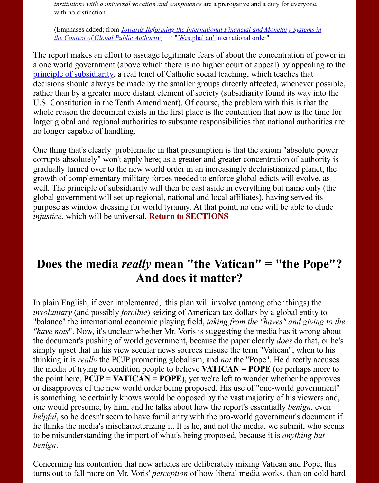a one world government (above which there is no higher court of appeal) by appealing principle of subsidiarity, a real tenet of Catholic social teaching, which teaches that decisions should always be made by the smaller groups directly affected, whenever pos rather than by a greater more distant element of society (subsidiarity found its way int U.S. [Constitution in the Tenth Amendment\). Of course, the problem with this is that th](http://www.news.va/en/news/full-text-note-on-financial-reform-from-the-pontif)e whole reason the document exists in the first place is the contention that now is the time larger global and regional authorities to subsume responsibilities that national authority [no longer capable of han](http://www.thecatholicthing.org/columns/2009/subsidiarity-a-primer.html)dling.

One thing that's clearly problematic in that presumption is that the axiom "absolute power corrupts absolutely" won't apply here; as a greater and greater concentration of author gradually turned over to the new world order in an increasingly dechristianized planet growth of complementary military forces needed to enforce global edicts will evolve, well. The principle of subsidiarity will then be cast aside in everything but name only global government will set up regional, national and local affiliates), having served its purpose as window dressing for world tyranny. At that point, no one will be able to elect *injustice*, which will be universal. **Return to SECTIONS**

#### **Does the media** *really* **mean "the Vatican" = "the Pop A[nd does it matte](http://novusordowatch.org/ows_b16_vortex.htm#S)r?**

In plain English, if ever implemented, this plan will involve (among other things) the *involuntary* (and possibly *forcible*) seizing of American tax dollars by a global entity to "balance" the international economic playing field, *taking from the "haves" and giving "have nots*". Now, it's unclear whether Mr. Voris is suggesting the media has it wrong the document's pushing of world government, because the paper clearly *does* do that, simply upset that in his view secular news sources misuse the term "Vatican", when to thinking it is *really* the PCJP promoting globalism, and *not* the "Pope". He directly acthe media of trying to condition people to believe **VATICAN** = **POPE** (or perhaps more the point here,  $PCJP = VATICAN = POPE$ ), yet we're left to wonder whether he app or disapproves of the new world order being proposed. His use of "one-world government" is something he certainly knows would be opposed by the vast majority of his viewers one would presume, by him, and he talks about how the report's essentially *benign*, even *helpful*, so he doesn't seem to have familiarity with the pro-world government's docun he thinks the media's mischaracterizing it. It is he, and not the media, we submit, who to be misunderstanding the import of what's being proposed, because it is *anything buttlering buttlering buttlering buttlering buttlering buttlering buttlering buttlering buttlering buttlering buttlering buttlering buttle benign*.

Concerning his contention that new articles are deliberately mixing Vatican and Pope, turns out to fall more on Mr. Voris' *perception* of how liberal media works, than on co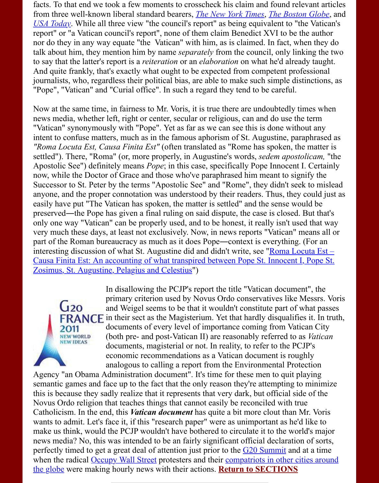And quite frankly, that's exactly what ought to be expected from competent profession journalists, who, regardless their political bias, [are able to make such](http://www.nytimes.com/2011/10/25/world/europe/vatican-calls-for-global-oversight-of-the-economy.html) [simple distinctions](http://articles.boston.com/2011-10-25/business/30320839_1_vatican-city-economy-pontifical-council), ["Pope", "Va](http://content.usatoday.com/communities/Religion/post/2011/10/wall-street-protests-ows-vatican-pope/1)tican" and "Curial office". In such a regard they tend to be careful.

Now at the same time, in fairness to Mr. Voris, it is true there are undoubtedly times when news media, whether left, right or center, secular or religious, can and do use the term "Vatican" synonymously with "Pope". Yet as far as we can see this is done without an intent to confuse matters, much as in the famous aphorism of St. Augustine, paraphrased as in the famous aphorism of St. *"Roma Locuta Est, Causa Finita Est"* (often translated as "Rome has spoken, the matt settled"). There, "Roma" (or, more properly, in Augustine's words, *sedem apostolicam* Apostolic See") definitely means *Pope*; in this case, specifically Pope Innocent I. Cert now, while the Doctor of Grace and those who've paraphrased him meant to signify the Successor to St. Peter by the terms "Apostolic See" and "Rome", they didn't seek to m anyone, and the proper connotation was understood by their readers. Thus, they could easily have put "The Vatican has spoken, the matter is settled" and the sense would be preserved—the Pope has given a final ruling on said dispute, the case is closed. But the only one way "Vatican" can be properly used, and to be honest, it really isn't used that very much these days, at least not exclusively. Now, in news reports "Vatican" means part of the Roman bureaucracy as much as it does Pope—context is everything. (For a interesting discussion of what St. Augustine did and didn't write, see "Roma Locuta E Causa Finita Est: An accounting of what transpired between Pope St. Innocent I, Pope Zosimus, St. Augustine, Pelagius and Celestius")

In disallowing the PCJP's report the title "Vatican document", the primary criterion used by Novus Ordo conservatives like Messrs. and Weigel seems to be that it wouldn't constitute part of what p **FRANCE** in their sect as the Magisterium. Yet that hardly disqualifies it. In documents of every level of importance coming from Vatican City (both pre- and post-Vatican II) are reasonably referred to as *Vatican* documents, magisterial or not. In reality, to refer to the PCJP's economic recommendations as a Vatican document is roughly analogous to calling a report from the Environmental Protection

Agency "an Obama Administration document". It's time for these men to quit playing semantic games and face up to the fact that the only reason they're attempting to minimize this is because they sadly realize that it represents that very dark, but official side of the Novus Ordo religion that teaches things that cannot easily be reconciled with true Catholicism. In the end, this *Vatican document* has quite a bit more clout than Mr. Vo wants to admit. Let's face it, if this "research paper" were as unimportant as he'd like to make us think, would the PCJP wouldn't have bothered to circulate it to the world's m news media? No, this was intended to be an fairly significant official declaration of sorts, perfectly timed to get a great deal of attention just prior to the  $G20$  Summit and at a timewhen the radical <u>Occupy Wall Street</u> protesters and their compatriots in other cities are the globe were making hourly news with their actions. **Return to SECTIONS**

 $\overline{\mathsf{u}}$ 20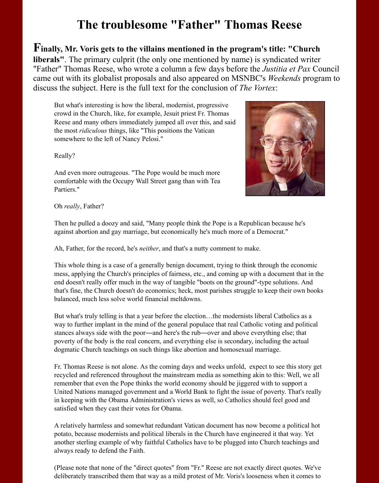#### **The troublesome "Father" Thomas Reese**

**Finally, Mr. Voris gets to the villains mentioned in the program's title: "Church liberals"**. The primary culprit (the only one mentioned by name) is syndicated writer "Father" Thomas Reese, who wrote a column a few days before the *Justitia et Pax* Council came out with its globalist proposals and also appeared on MSNBC's *Weekends* program to discuss the subject. Here is the full text for the conclusion of *The Vortex*:

But what's interesting is how the liberal, modernist, progressive crowd in the Church, like, for example, Jesuit priest Fr. Thomas Reese and many others immediately jumped all over this, and said the most *ridiculous* things, like "This positions the Vatican somewhere to the left of Nancy Pelosi."

Really?

And even more outrageous. "The Pope would be much more comfortable with the Occupy Wall Street gang than with Tea Partiers."



Oh *really*, Father?

Then he pulled a doozy and said, "Many people think the Pope is a Republican because he's against abortion and gay marriage, but economically he's much more of a Democrat."

Ah, Father, for the record, he's *neither*, and that's a nutty comment to make.

This whole thing is a case of a generally benign document, trying to think through the economic mess, applying the Church's principles of fairness, etc., and coming up with a document that in the end doesn't really offer much in the way of tangible "boots on the ground"-type solutions. And that's fine, the Church doesn't do economics; heck, most parishes struggle to keep their own books balanced, much less solve world financial meltdowns.

But what's truly telling is that a year before the election…the modernists liberal Catholics as a way to further implant in the mind of the general populace that real Catholic voting and political stances always side with the poor―and here's the rub―over and above everything else; that poverty of the body is the real concern, and everything else is secondary, including the actual dogmatic Church teachings on such things like abortion and homosexual marriage.

Fr. Thomas Reese is not alone. As the coming days and weeks unfold, expect to see this story get recycled and referenced throughout the mainstream media as something akin to this: Well, we all remember that even the Pope thinks the world economy should be jiggered with to support a United Nations managed government and a World Bank to fight the issue of poverty. That's really in keeping with the Obama Administration's views as well, so Catholics should feel good and satisfied when they cast their votes for Obama.

A relatively harmless and somewhat redundant Vatican document has now become a political hot potato, because modernists and political liberals in the Church have engineered it that way. Yet another sterling example of why faithful Catholics have to be plugged into Church teachings and always ready to defend the Faith.

(Please note that none of the "direct quotes" from "Fr." Reese are not exactly direct quotes. We've deliberately transcribed them that way as a mild protest of Mr. Voris's looseness when it comes to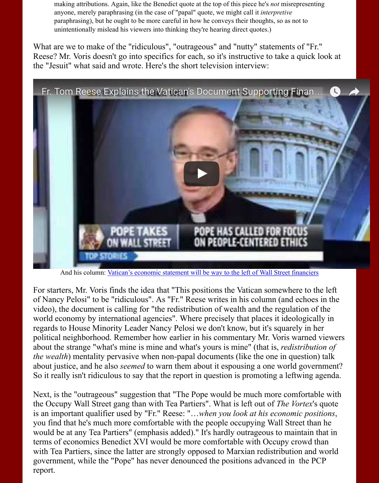the "Jesuit" what said and wrote. Here's the short television interview:



And his column: Vatican's economic statement will be way to the left of Wall Street financiers

For starters, Mr. Voris finds the idea that "This positions the Vatican somewhere to the of Nancy Pelosi" to be "ridiculous". As "Fr." Reese writes in his column (and echoes in video), the document is calling for "the redistribution of wealth and the regulation of the world economy by international agencies". Where precisely that places it ideologically regards to House Minority Leader Nancy Pelosi we don't know, but it's squarely in her political neighborhoo[d. Remember how earlier in his commentary Mr. Voris warned v](http://life.nationalpost.com/2011/10/21/vaticans-economic-statement-will-be-way-to-the-left-of-wall-street-financiers/) about the strange "what's mine is mine and what's yours is mine" (that is, *redistribution the wealth*) mentality pervasive when non-papal documents (like the one in question) about justice, and he also *seemed* to warn them about it espousing a one world govern So it really isn't ridiculous to say that the report in question is promoting a leftwing agent

Next, is the "outrageous" suggestion that "The Pope would be much more comfortable the Occupy Wall Street gang than with Tea Partiers". What is left out of *The Vortex's* quote is an important qualifier used by "Fr." Reese: "...when you look at his economic posit. you find that he's much more comfortable with the people occupying Wall Street than would be at any Tea Partiers" (emphasis added)." It's hardly outrageous to maintain th terms of economics Benedict XVI would be more comfortable with Occupy crowd than with Tea Partiers, since the latter are strongly opposed to Marxian redistribution and w government, while the "Pope" has never denounced the positions advanced in the PC report.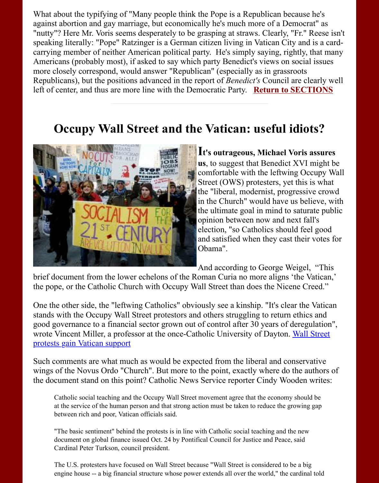more closely correspond, would answer "Republican" (especially as in grassroots Republicans), but the positions advanced in the report of *Benedict's* Council are clearl left of center, and thus are more line with the Democratic Party. Return to SECTIO

## **Occupy Wall Street and the Vatican: useful idiots?**



**It's outrageous, Michael Voris asset us**, to suggest that Benedict XVI might comfortable with the leftwing Occup Street  $(OWS)$  protesters, yet this is w the "liberal, modernist, progressive c in the Church" would have us believe the ultimate goal in mind to saturate opinion between now and next fall's election, "so Catholics should feel go and satisfied when they cast their vot Obama".

And according to George Weigel, "This

brief document from the lower echelons of the Roman Curia no more aligns 'the Vation the pope, or the Catholic Church with Occupy Wall Street than does the Nicene Creed

One the other side, the "leftwing Catholics" obviously see a kinship. "It's clear the Vat stands with the Occupy Wall Street protestors and others struggling to return ethics an good governance to a financial sector grown out of control after 30 years of deregulation wrote Vincent Miller, a professor at the once-Catholic University of Dayton. Wall Stre protests gain Vatican support

Such comments are what much as would be expected from the liberal and conservative wings of the Novus Ordo "Church". But more to the point, exactly where do the authors the document stand on this point? Catholic News Service reporter Cindy Wooden writes:

Catholic social teaching and the Occupy Wall Street movement agree that the economy should be [at the service of the human person and that strong action must be taken to reduce the growing gap](http://www.smh.com.au/world/wall-street-protests-gain-vatican-support-20111025-1mi3a.html) between rich and poor, Vatican officials said.

"The basic sentiment" behind the protests is in line with Catholic social teaching and the new document on global finance issued Oct. 24 by Pontifical Council for Justice and Peace, said Cardinal Peter Turkson, council president.

The U.S. protesters have focused on Wall Street because "Wall Street is considered to be a big engine house -- a big financial structure whose power extends all over the world," the cardinal tole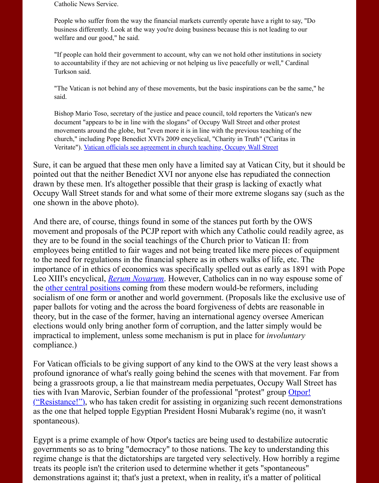to account the matrix is the not achieving usual usual usual values of  $\alpha$ Turkson said.

"The Vatican is not behind any of these movements, but the basic inspirations can be the same," h said.

Bishop Mario Toso, secretary of the justice and peace council, told reporters the Vatican's new document "appears to be in line with the slogans" of Occupy Wall Street and other protest movements around the globe, but "even more it is in line with the previous teaching of the church," including Pope Benedict XVI's 2009 encyclical, "Charity in Truth" ("Caritas in Veritate"). Vatican officials see agreement in church teaching, Occupy Wall Street

Sure, it can be argued that these men only have a limited say at Vatican City, but it sho pointed out that the neither Benedict XVI nor anyone else has repudiated the connection drawn by these men. It's altogether possible that their grasp is lacking of exactly what Occupy Wall Street stands for and what some of their more extreme slogans say (such one shown in the above photo).

And there are, of course, things found in some of the stances put forth by the OWS movement and proposals of the PCJP report with which any Catholic could readily agree. they are to be found in the social teachings of the Church prior to Vatican II: from employees being entitled to fair wages and not being treated like mere pieces of equip to the need for regulations in the financial sphere as in others walks of life, etc. The importance of in ethics of economics was specifically spelled out as early as 1891 with Leo XIII's encyclical, *Rerum Novarum*. However, Catholics can in no way espouse so the other central positions coming from these modern would-be reformers, including socialism of one form or another and world government. (Proposals like the exclusive paper ballots for voting and the across the board forgiveness of debts are reasonable in theory, but in the case of the former, having an international agency oversee American elections would only bring another form of corruption, and the latter simply would be impractical to implem[ent, unless some](http://www.papalencyclicals.net/Leo13/l13rerum.htm) mechanism is put in place for *involuntary* co[mpliance.\)](http://occupywallst.org/forum/proposed-list-of-demands-for-occupy-wall-st-moveme)

For Vatican officials to be giving support of any kind to the OWS at the very least show profound ignorance of what's really going behind the scenes with that movement. Far being a grassroots group, a lie that mainstream media perpetuates, Occupy Wall Street ties with Ivan Marovic, Serbian founder of the professional "protest" group Otpor!  $("Resistance]")$ , who has taken credit for assisting in organizing such recent demonstr as the one that helped topple Egyptian President Hosni Mubarak's regime (no, it wasn't spontaneous).

Egypt is a prime example of how Otpor's tactics are being used to destabilize autocratic governments so as to bring "democracy" to those nations. The key to understanding the [regime change is that the dictatorships are targeted very selectively. How horribly a](http://en.wikipedia.org/wiki/Otpor) regime treats its people isn't the criterion used to determine whether it gets "spontaneous" demonstrations against it; that's just a pretext, when in reality, it's a matter of political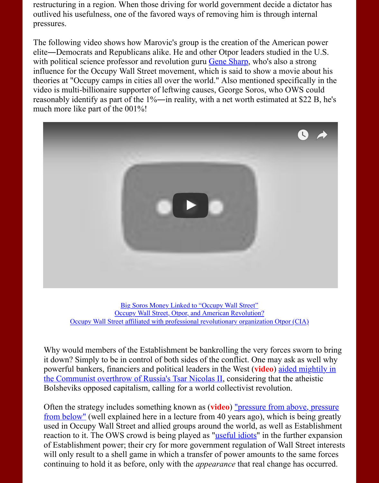influence for the Occupy Wall Street movement, which is said to show a movie about his theories at "Occupy camps in cities all over the world." Also mentioned specifically in video is multi-billionaire supporter of leftwing causes, George Soros, who OWS could reasonably identify as part of the 1%—in reality, with a net worth estimated at \$22 B, much more like part of the 001%!



Big Soros Money Linked to "Occupy Wall Street" Occupy Wall Street, Otpor, and American Revolution? Occupy Wall Street affiliated with professional revolutionary organization Otpor (CIA)

Why would members of the Establishment be bankrolling the very forces sworn to it down? Simply to be in control of both sides of the conflict. One may ask as well powerful bankers, fina[nciers and political leaders in the West \(](http://www.thenewamerican.com/usnews/politics/9269-big-soros-money-linked-to-occupy-wall-street)video) aided mightil the Communist over[throw of Russia's Tsar Nicolas II, considering](http://www.scribd.com/doc/69610981/Occupy-Wall-Street-OTPOR-And-American-Revolution) that the atheistic Bolshe[viks opposed capitalism, calling for a world collectivist revolution.](http://www.infowars.com/occupy-wall-street-affiliated-with-professional-revolutionary-organization-otpor-cia/)

Often the strategy includes something known as (**video**) "pressure from above, pre from below" (well explained here in a lecture from 40 years ago), which is being g used in Occupy Wall Street and allied groups around the world, as well as Establish [reaction to it. The OWS crowd is being played as "useful idiots" in the further expansio](http://www.youtube.com/watch?v=lGEESQ0aLJo)n to it. of Establishment power; their cry for more government regulation of Wall Street in will only result to a shell game in which a transfer of power amounts to the same for[continuing to hold it as before, only with the](http://www.youtube.com/watch?v=sPd0Sg42Cvo) *appearance* that real change has occu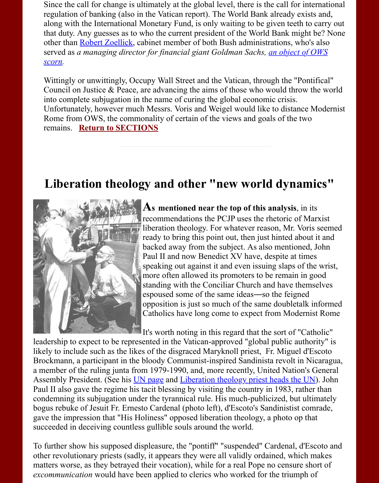Wittingly or unwittingly, Occupy Wall Street and the Vatican, through the "Pontific Council on Justice  $\&$  Peace, are advancing the aims of those who would throw the into complete subjugation in the name of curing the global economic crisis. Unfortuna[tely, however mu](http://en.wikipedia.org/wiki/Robert_Zoellick)ch Messrs. Voris and Weigel would like to distance Mo [Rome from OWS, the commonality of certain of the views and goals of the two](http://www.businessinsider.com/occupy-wall-street-march-on-goldman-sachs-2011-12) remains. **Return to SECTIONS**

#### Liber[ation theology a](http://novusordowatch.org/ows_b16_vortex.htm#S)nd other "new world dynamic



**As mentioned near the top of this analysis**, in its recommendations the PCJP uses the rhetoric of Marx liberation theology. For whatever reason, Mr. Voris se ready to bring this point out, then just hinted about it backed away from the subject. As also mentioned, Jo Paul II and now Benedict XV have, despite at times speaking out against it and even issuing slaps of the w more often allowed its promoters to be remain in good standing with the Conciliar Church and have themsel espoused some of the same ideas―so the feigned opposition is just so much of the same doubletalk information Catholics have long come to expect from Modernist I

It's worth noting in this regard that the sort of "Catholic"

leadership to expect to be represented in the Vatican-approved "global public authority" likely to include such as the likes of the disgraced Maryknoll priest, Fr. Miguel d'Escoto Brockmann, a participant in the bloody Communist-inspired Sandinista revolt in Nica a member of the ruling junta from 1979-1990, and, more recently, United Nation's Ge Assembly President. (See his UN page and Liberation theology priest heads the UN). Paul II also gave the regime his tacit blessing by visiting the country in 1983, rather than condemning its subjugation under the tyrannical rule. His much-publicized, but ultimately bogus rebuke of Jesuit Fr. Ernesto Cardenal (photo left), d'Escoto's Sandinistist comra gave the impression that "His Holiness" opposed liberation theology, a photo op that succeeded in deceiving countless gullible souls around the world.

To further show his supposed [displeasu](http://www.un.org/ga/president/63)re, t[he "pontiff" "suspended" Cardenal, d'Esc](http://www.traditioninaction.org/RevolutionPhotos/A285rcMiguelEscoto.html)oto other revolutionary priests (sadly, it appears they were all validly ordained, which mal matters worse, as they betrayed their vocation), while for a real Pope no censure short *excommunication* would have been applied to clerics who worked for the triumph of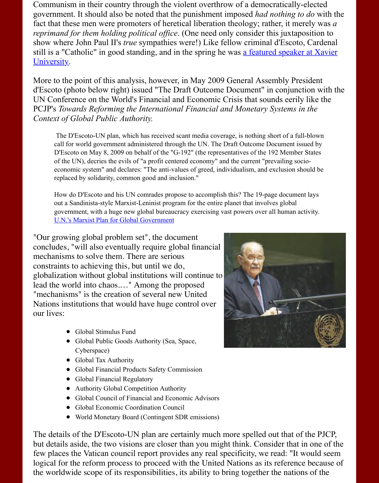More to the point of this analysis, however, in May 2009 General Assembly President d'Escoto (photo below right) issued "The Draft Outcome Document" in conjunction w UN Conference on the World's Financial and Economic Crisis that sounds eerily like the PCJP's *Towards Reforming the International Financial and Monetary Systems in the [Context of Global Public Authority.](http://www.xavier.edu/news/calendar/1/31248)*

 The D'Escoto-UN plan, which has received scant media coverage, is nothing short of a full-blown call for world government administered through the UN. The Draft Outcome Document issued by D'Escoto on May 8, 2009 on behalf of the "G-192" (the representatives of the 192 Member States of the UN), decries the evils of "a profit centered economy" and the current "prevailing socioeconomic system" and declares: "The anti-values of greed, individualism, and exclusion should be replaced by solidarity, common good and inclusion."

How do D'Escoto and his UN comrades propose to accomplish this? The 19-page document lays out a Sandinista-style Marxist-Leninist program for the entire planet that involves global government, with a huge new global bureaucracy exercising vast powers over all human activity. U.N.'s Marxist Plan for Global Government

"Our growing global problem set", the document concludes, "will also eventually require global financial mechanisms to solve them. There are serious constraints to achieving this, but until we do, globalization without global institutions will continue to lead t[he world into chaos.](http://www.thenewamerican.com/usnews/election/1215)…" Among the proposed "mechanisms" is the creation of several new United Nations institutions that would have huge control over our lives:

- Global Stimulus Fund
- Global Public Goods Authority (Sea, Space, Cyberspace)
- Global Tax Authority
- Global Financial Products Safety Commission
- Global Financial Regulatory
- Authority Global Competition Authority
- Global Council of Financial and Economic Advisors
- Global Economic Coordination Council
- World Monetary Board (Contingent SDR emissions)

The details of the D'Escoto-UN plan are certainly much more spelled out that of the P but details aside, the two visions are closer than you might think. Consider that in one few places the Vatican council report provides any real specificity, we read: "It would logical for the reform process to proceed with the United Nations as its reference because of the worldwide scope of its responsibilities, its ability to bring together the nations of t

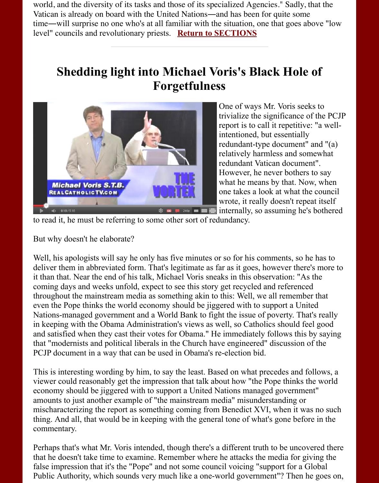#### **Shedding light into Michael Voris's Black Hole of Forgetfulness**



[One of way](http://novusordowatch.org/ows_b16_vortex.htm#S)s Mr. Voris seeks to trivialize the significance of the report is to call it repetitive: "a intentioned, but essentially redundant-type document" and relatively harmless and somewh redundant Vatican document". However, he never bothers to s what he means by that. Now, v one takes a look at what the co wrote, it really doesn't repeat it  $\blacksquare$ <sup>240</sup> $\blacksquare$   $\blacksquare$  internally, so assuming he's bo

to read it, he must be referring to some other sort of redundancy.

But why doesn't he elaborate?

Well, his apologists will say he only has five minutes or so for his comments, so he has deliver them in abbreviated form. That's legitimate as far as it goes, however there's m it than that. Near the end of his talk, Michael Voris sneaks in this observation: "As the coming days and weeks unfold, expect to see this story get recycled and referenced throughout the mainstream media as something akin to this: Well, we all remember the even the Pope thinks the world economy should be jiggered with to support a United Nations-managed government and a World Bank to fight the issue of poverty. That's really in keeping with the Obama Administration's views as well, so Catholics should feel go and satisfied when they cast their votes for Obama." He immediately follows this by s that "modernists and political liberals in the Church have engineered" discussion of the PCJP document in a way that can be used in Obama's re-election bid.

This is interesting wording by him, to say the least. Based on what precedes and follow viewer could reasonably get the impression that talk about how "the Pope thinks the w economy should be jiggered with to support a United Nations managed government" amounts to just another example of "the mainstream media" misunderstanding or mischaracterizing the report as something coming from Benedict XVI, when it was no thing. And all, that would be in keeping with the general tone of what's gone before in commentary.

Perhaps that's what Mr. Voris intended, though there's a different truth to be uncovered that he doesn't take time to examine. Remember where he attacks the media for giving false impression that it's the "Pope" and not some council voicing "support for a Glob Public Authority, which sounds very much like a one-world government"? Then he go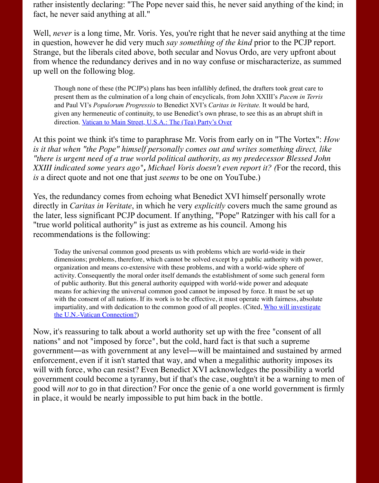up well on the following blog.

Though none of these (the PCJP's) plans has been infallibly defined, the drafters took great care to present them as the culmination of a long chain of encyclicals, from John XXIII's *Pacem in Terris* and Paul VI's *Populorum Progressio* to Benedict XVI's *Caritas in Veritate.* It would be hard, given any hermeneutic of continuity, to use Benedict's own phrase, to see this as an abrupt shift in direction. Vatican to Main Street, U.S.A.: The (Tea) Party's Over

At this point we think it's time to paraphrase Mr. Voris from early on in "The Vortex": *is it that when "the Pope" himself personally comes out and writes something direct, l "there is urgent need of a true world political authority, as my predecessor Blessed John XXIII indicated some years ago", Michael Voris doesn't even report it?* (For the record *is* a direct quote and not one that just *seems* to be one on YouTube.)

Yes, the redundancy comes from echoing what Benedict XVI himself personally wrot directly in *Caritas in Veritate*, in which he very *explicitly* covers much the same ground the later, less significant PCJP document. If anything, "Pope" Ratzinger with his call for "true world political authority" is just as extreme as his council. Among his recommendations is the following:

Today the universal common good presents us with problems which are world-wide in their dimensions; problems, therefore, which cannot be solved except by a public authority with power, organization and means co-extensive with these problems, and with a world-wide sphere of activity. Consequently the moral order itself demands the establishment of some such general form of public authority. But this general authority equipped with world-wide power and adequate means for achieving the universal common good cannot be imposed by force. It must be set up with the consent of all nations. If its work is to be effective, it must operate with fairness, absolute impartiality, and with dedication to the common good of all peoples. (Cited, Who will investigate the U.N.-Vatican Connection?)

Now, it's reassuring to talk about a world authority set up with the free "consent of all nations" and not "imposed by force", but the cold, hard fact is that such a supreme government—as with government at any level—will be maintained and sustained by a enforcement, even if it isn't started that way, and when a megalithic authority imposes will with force, who can resist? Even Benedict XVI acknowledges the possibility a world gover[nment could become a tyranny, but if that's the case, oughtn't it be a warning to m](http://www.aim.org/aim-column/who-will-investigate-the-u-n-vatican-connection/feed)en of the of good will *not* to go in that direction? For once the genie of a one world government is in place, it would be nearly impossible to put him back in the bottle.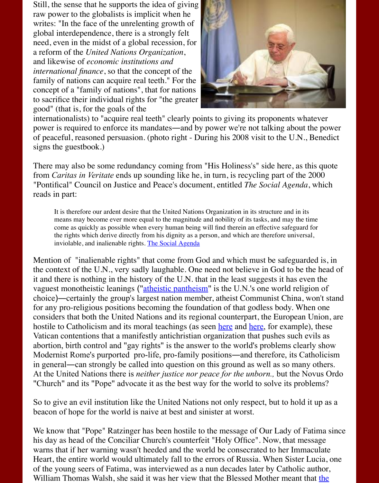*international finance*, so that the concept of the family of nations can acquire real teeth." For the concept of a "family of nations", that for nations to sacrifice their individual rights for "the greater good" (that is, for the goals of the



internationalists) to "acquire real teeth" clearly points to giving its proponents whatever power is required to enforce its mandates—and by power we're not talking about the p of peaceful, reasoned persuasion. (photo right - During his 2008 visit to the U.N., Ben signs the guestbook.)

There may also be some redundancy coming from "His Holiness's" side here, as this quote from *Caritas in Veritate* ends up sounding like he, in turn, is recycling part of the 2000 "Pontifical" Council on Justice and Peace's document, entitled *The Social Agenda*, wh reads in part:

It is therefore our ardent desire that the United Nations Organization in its structure and in its means may become ever more equal to the magnitude and nobility of its tasks, and may the time come as quickly as possible when every human being will find therein an effective safeguard for the rights which derive directly from his dignity as a person, and which are therefore universal, inviolable, and inalienable rights. The Social Agenda

Mention of "inalienable rights" that come from God and which must be safeguarded in the context of the U.N., very sadly laughable. One need not believe in God to be the h it and there is nothing in the history of the U.N. that in the least suggests it has even the vaguest monotheistic leanings ("atheistic pantheism" is the U.N.'s one world religion choice)—certainly the group's largest nation member, atheist Communist China, won't for any pro-religious positions be[coming the foun](http://www.thesocialagenda.org/)dation of that godless body. When o considers that both the United Nations and its regional counterpart, the European Union, hostile to Catholicism and its moral teachings (as seen here and here, for example), the Vatican contentions that a manifestly antichristian organization that pushes such evils abortion, birth control and "gay rights" is the answer to the world's problems clearly show Modernist Rome's purported pr[o-life, pro-family po](http://www.conspiracyarchive.com/NewAge/Earth_Charter_Ark.htm)sitions—and therefore, its Cathol in general—can strongly be called into question on this ground as well as so many other At the United Nations there is *neither justice nor peace for the unborn*., but the Novus "Church" and its "Pope" advocate it as the best way fo[r the](http://www.wnd.com/news/article.asp?ARTICLE_ID=44983) wor[ld to](http://www.catholicnewsagency.com/news/new-european-union-school-calendar-omits-christian-holidays) solve its problem

So to give an evil institution like the United Nations not only respect, but to hold it up beacon of hope for the world is naive at best and sinister at worst.

We know that "Pope" Ratzinger has been hostile to the message of Our Lady of Fatim his day as head of the Conciliar Church's counterfeit "Holy Office". Now, that message warns that if her warning wasn't heeded and the world be consecrated to her Immaculate Heart, the entire world would ultimately fall to the errors of Russia. When Sister Luci of the young seers of Fatima, was interviewed as a nun decades later by Catholic auth William Thomas Walsh, she said it was her view that the Blessed Mother meant that  $\underline{t}$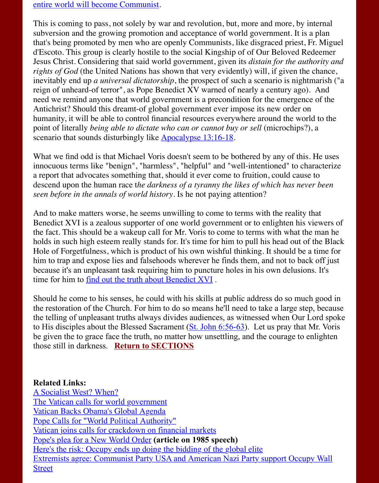Jesus Christ. Considering that said world government, given its *distain for the authority and rights of God* (the United Nations has shown that very evidently) will, if given the cha inevitably end up *a universal dictatorship*, the prospect of such a scenario is nightmar reign of unheard-of terror", as Pope Benedict XV warned of nearly a century ago). An need we remind anyone that world government is a precondition for the emergence of Antichrist? Should this dreamt-of global government ever impose its new order on humanity, it will be able to control financial resources everywhere around the world to point of literally *being able to dictate who can or cannot buy or sell* (microchips?), a scenario that sounds disturbingly like Apocalypse 13:16-18.

What we find odd is that Michael Voris doesn't seem to be bothered by any of this. He innocuous terms like "benign", "harmless", "helpful" and "well-intentioned" to charac a report that advocates something that, should it ever come to fruition, could cause to descend upon the human race the darkness of a tyranny the likes of which has never b *seen before in the annals of world history*[. Is he not paying a](http://drbo.org/x/d?b=drb&bk=73&ch=13&l=17)ttention?

And to make matters worse, he seems unwilling to come to terms with the reality that Benedict XVI is a zealous supporter of one world government or to enlighten his view the fact. This should be a wakeup call for Mr. Voris to come to terms with what the manner holds in such high esteem really stands for. It's time for him to pull his head out of the Hole of Forgetfulness, which is product of his own wishful thinking. It should be a tin him to trap and expose lies and falsehoods wherever he finds them, and not to back of because it's an unpleasant task requiring him to puncture holes in his own delusions. I time for him to find out the truth about Benedict XVI .

Should he come to his senses, he could with his skills at public address do so much go the restoration of the Church. For him to do so means he'll need to take a large step, be the telling of unpleasant truths always divides audiences, as witnessed when Our Lord to His disciples about the Blessed Sacrament  $(St. John 6:56-63)$ . Let us pray that Mr. be given the to grace face the truth, no matter how unsettling, and the courage to enlightendthose still in darkness. **[Return to SECTIONS](http://novusordowatch.org/benedict.htm)**

#### **Related Links:**

A Socialist West? When? The Vatican calls for world government Vatican Backs Obama's [Global Agenda](http://novusordowatch.org/ows_b16_vortex.htm#S) Pope Calls for "World Political Authority" Vatican joins calls for crackdown on financial markets Pope's plea for a New World Order **(article on 1985 speech)** Here's the risk: Occupy ends up doing the bidding of the global elite **[Extremists agree: Commu](http://www.traditioninaction.org/bev/103bev10-29-2008.htm)nist Party USA and American Nazi Party support Occupy W** [Street](http://www.forbes.com/sites/timworstall/2011/10/25/the-vatican-calls-for-world-government)